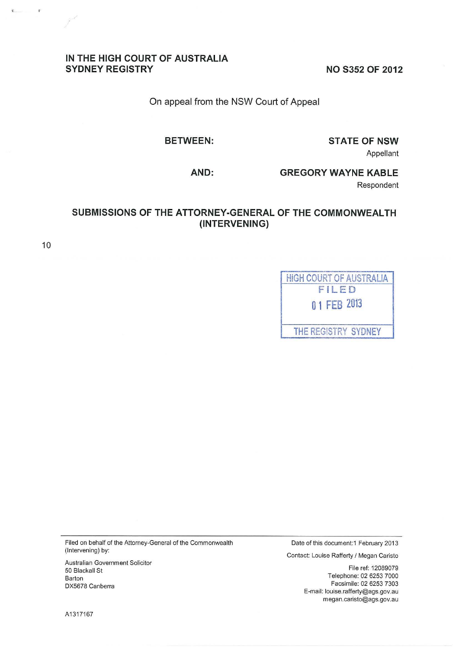# **IN THE HIGH COURT OF AUSTRALIA**

**NO S352 OF 2012** 

On appeal from the NSW Court of Appeal

**BETWEEN:** 

**STATE OF NSW**  Appellant

**AND:** 

**GREGORY WAYNE KABLE** 

Respondent

# **SUBMISSIONS OF THE ATTORNEY-GENERAL OF THE COMMONWEALTH (INTERVENING)**

10

 $\mathbf{C}$ 

| HIGH COURT OF AUSTRALIA |
|-------------------------|
| FILED                   |
| 01 FEB 2013             |
| THE REGISTRY SYDNEY     |

Filed on behalf of the Attorney-General of the Commonwealth (Intervening) by:

Australian Government Solicitor 50 Blackall St Barton DX5678 Canberra

Date of this document: 1 February 2013

Contact: Louise Rafferty I Megan Caristo

File ref: 12089079 Telephone: 02 6253 7000 Facsimile: 02 6253 7303 E-mail: louise. ratferty@ags. gov .au m egan. caristo@ags.gov .au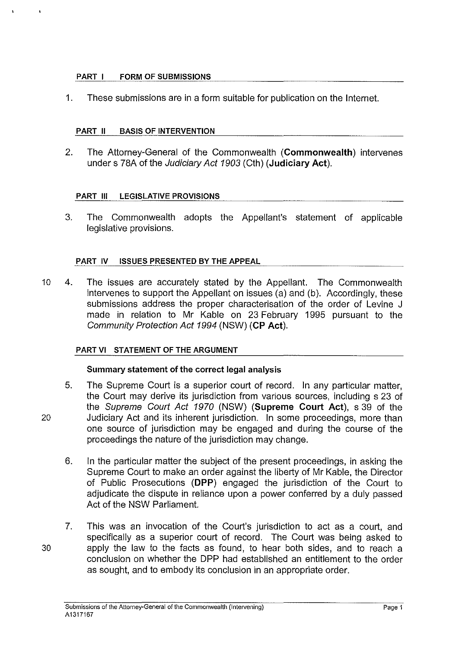## **PART I FORM OF SUBMISSIONS**

1. These submissions are in a form suitable for publication on the Internet.

## **PART II BASIS OF INTERVENTION**

2. The Attorney-General of the Commonwealth **(Commonwealth)** intervenes under s 78A of the Judiciary Act 1903 (Cth) **(Judiciary Act).** 

## **PART Ill LEGISLATIVE PROVISIONS**

3. The Commonwealth adopts the Appellant's statement of applicable legislative provisions.

## **PART IV ISSUES PRESENTED BY THE APPEAL**

10 4. The issues are accurately stated by the Appellant. The Commonwealth intervenes to support the Appellant on issues (a) and (b). Accordingly, these submissions address the proper characterisation of the order of Levine J made in relation to Mr Kable on 23 February 1995 pursuant to the Community Protection Act 1994 (NSW) **(CP Act).** 

#### **PART VI STATEMENT OF THE ARGUMENT**

# **Summary statement of the correct legal analysis**

- 5. The Supreme Court is a superior court of record. In any particular matter, the Court may derive its jurisdiction from various sources, including s 23 of the Supreme Court Act 1970 (NSW) **(Supreme Court Act),** s 39 of the 20 Judiciary Act and its inherent jurisdiction. In some proceedings, more than one source of jurisdiction may be engaged and during the course of the proceedings the nature of the jurisdiction may change.
	- 6. In the particular matter the subject of the present proceedings, in asking the Supreme Court to make an order against the liberty of Mr Kable, the Director of Public Prosecutions **(DPP)** engaged the jurisdiction of the Court to adjudicate the dispute in reliance upon a power conferred by a duly passed Act of the NSW Parliament.
- 7. This was an invocation of the Court's jurisdiction to act as a court, and specifically as a superior court of record. The Court was being asked to 30 apply the law to the facts as found, to hear both sides, and to reach a conclusion on whether the DPP had established an entitlement to the order as sought, and to embody its conclusion in an appropriate order.
	- **Submissions of the Attorney-General of the Commonwealth (Intervening)**  A1317167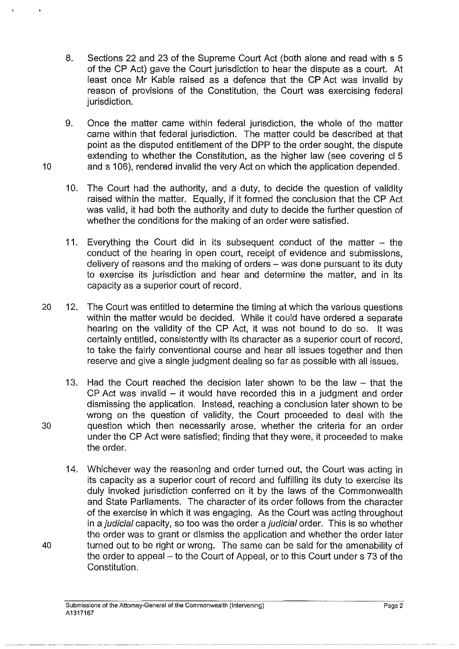- 8. Sections 22 and 23 of the Supreme Court Act (both alone and read with s 5 of the CP Act) gave the Court jurisdiction to hear the dispute as a court. At least once Mr Kable raised as a defence that the CP Act was invalid by reason of provisions of the Constitution, the Court was exercising federal jurisdiction.
- 9. Once the matter came within federal jurisdiction, the whole of the matter came within that federal jurisdiction. The matter could be described at that point as the disputed entitlement of the DPP to the order sought, the dispute extending to whether the Constitution, as the higher law (see covering cl 5 10 and s 106), rendered invalid the very Act on which the application depended.
	- 10. The Court had the authority, and a duty, to decide the question of validity raised within the matter. Equally, if it formed the conclusion that the CP Act was valid, it had both the authority and duty to decide the further question of whether the conditions for the making of an order were satisfied.
	- 11. Everything the Court did in its subsequent conduct of the matter  $-$  the conduct of the hearing in open court, receipt of evidence and submissions, delivery of reasons and the making of orders- was done pursuant to its duty to exercise its jurisdiction and hear and determine the matter, and in its capacity as a superior court of record.
- 20 12. The Court was entitled to determine the timing at which the various questions within the matter would be decided. While it could have ordered a separate hearing on the validity of the CP Act, it was not bound to do so. It was certainly entitled, consistently with its character as a superior court of record, to take the fairly conventional course and hear all issues together and then reserve and give a single judgment dealing so far as possible with all issues.
- 13. Had the Court reached the decision later shown to be the law  $-$  that the CP Act was invalid - it would have recorded this in a judgment and order dismissing the application. Instead, reaching a conclusion later shown to be wrong on the question of validity, the Court proceeded to deal with the 30 question which then necessarily arose, whether the criteria for an order under the CP Act were satisfied; finding that they were, it proceeded to make the order.
- 14. Whichever way the reasoning and order turned out, the Court was acting in its capacity as a superior court of record and fulfilling its duty to exercise its duly invoked jurisdiction conferred on it by the laws of the Commonwealth and State Parliaments. The character of its order follows from the character of the exercise in which it was engaging. As the Court was acting throughout in a judicial capacity, so too was the order a judicial order. This is so whether the order was to grant or dismiss the application and whether the order later 40 turned out to be right or wrong. The same can be said for the amenability of the order to appeal- to the Court of Appeal, or to this Court under s 73 of the Constitution.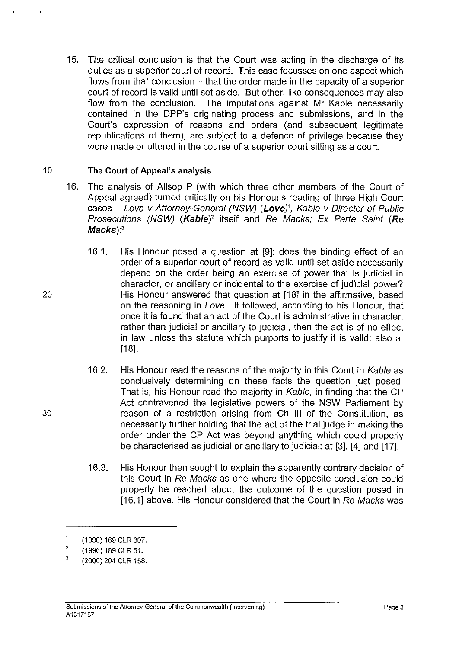15. The critical conclusion is that the Court was acting in the discharge of its duties as a superior court of record. This case focusses on one aspect which flows from that conclusion  $-$  that the order made in the capacity of a superior court of record is valid until set aside. But other, like consequences may also flow from the conclusion. The imputations against Mr Kable necessarily contained in the DPP's originating process and submissions, and in the Court's expression of reasons and orders (and subsequent legitimate republications of them), are subject to a defence of privilege because they were made or uttered in the course of a superior court sitting as a court.

# 10 **The Court of Appeal's analysis**

- 16. The analysis of Allsop P (with which three other members of the Court of Appeal agreed) turned critically on his Honour's reading of three High Court cases - Love v Attorney-Genera/ (NSW) **(Love)',** Kable v Director of Public Prosecutions (NSW) **(Kable)'** itself and Re Macks; Ex Parte Saint **(Re**  Macks):<sup>3</sup>
- 16.1. His Honour posed a question at [9]: does the binding effect of an order of a superior court of record as valid until set aside necessarily depend on the order being an exercise of power that is judicial in character, or ancillary or incidental to the exercise of judicial power? 20 His Honour answered that question at [18] in the affirmative, based on the reasoning in Love. It followed, according to his Honour, that once it is found that an act of the Court is administrative in character, rather than judicial or ancillary to judicial, then the act is of no effect in law unless the statute which purports to justify it is valid: also at [18].
- 16.2. His Honour read the reasons of the majority in this Court in Kable as conclusively determining on these facts the question just posed. That is, his Honour read the majority in Kable, in finding that the CP Act contravened the legislative powers of the NSW Parliament by 30 reason of a restriction arising from Ch Ill of the Constitution, as necessarily further holding that the act of the trial judge in making the order under the CP Act was beyond anything which could properly be characterised as judicial or ancillary to judicial: at [3], [4] and [17].
	- 16.3. His Honour then sought to explain the apparently contrary decision of this Court in Re Macks as one where the opposite conclusion could properly be reached about the outcome of the question posed in [16.1] above. His Honour considered that the Court in Re Macks was

 $\overline{1}$ (1990) 169 CLR 307.

<sup>2</sup>  (1996) 189 CLR 51.

<sup>3</sup>  (2000) 204 CLR 158.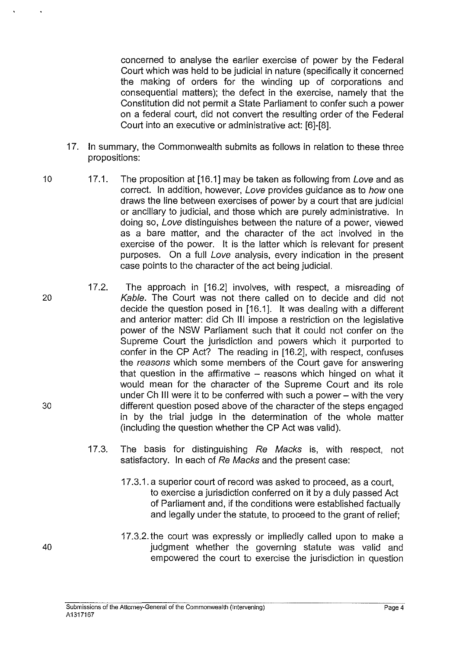concerned to analyse the earlier exercise of power by the Federal Court which was held to be judicial in nature (specifically it concerned the making of orders for the winding up of corporations and consequential matters); the defect in the exercise, namely that the Constitution did not permit a State Parliament to confer such a power on a federal court, did not convert the resulting order of the Federal Court into an executive or administrative act: [6]-[8].

- 17. In summary, the Commonwealth submits as follows in relation to these three propositions:
- 10 17.1. The proposition at [16.1] may be taken as following from Love and as correct. In addition, however, Love provides guidance as to how one draws the line between exercises of power by a court that are judicial or ancillary to judicial, and those which are purely administrative. In doing so, Love distinguishes between the nature of a power, viewed as a bare matter, and the character of the act involved in the exercise of the power. It is the latter which is relevant for present purposes. On a full Love analysis, every indication in the present case points to the character of the act being judicial.
- 17.2. The approach in [16.2] involves, with respect, a misreading of 20 Kable. The Court was not there called on to decide and did not decide the question posed in [16.1]. It was dealing with a different and anterior matter: did Ch Ill impose a restriction on the legislative power of the NSW Parliament such that it could not confer on the Supreme Court the jurisdiction and powers which it purported to confer in the CP Act? The reading in [16.2], with respect, confuses the reasons which some members of the Court gave for answering that question in the affirmative  $-$  reasons which hinged on what it would mean for the character of the Supreme Court and its role under Ch Ill were it to be conferred with such a power- with the very 30 different question posed above of the character of the steps engaged in by the trial judge in the determination of the whole matter (including the question whether the CP Act was valid).
	- 17.3. The basis for distinguishing Re Macks is, with respect, not satisfactory. In each of Re Macks and the present case:
		- 17.3.1. a superior court of record was asked to proceed, as a court, to exercise a jurisdiction conferred on it by a duly passed Act of Parliament and, if the conditions were established factually and legally under the statute, to proceed to the grant of relief;
		- 17.3.2. the court was expressly or impliedly called upon to make a judgment whether the governing statute was valid and empowered the court to exercise the jurisdiction in question

40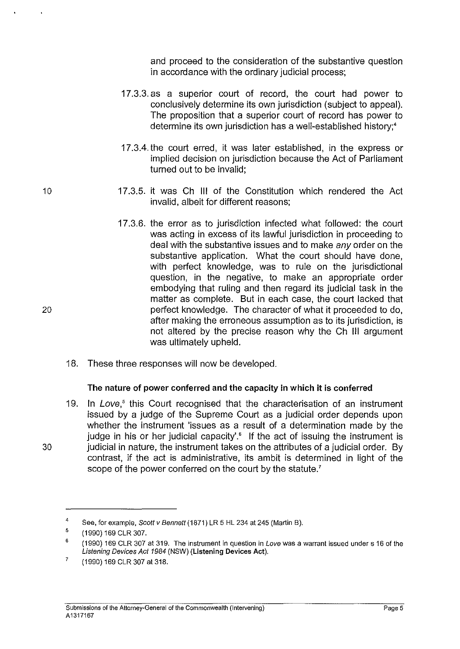and proceed to the consideration of the substantive question in accordance with the ordinary judicial process;

- 17.3.3. as a superior court of record, the court had power to conclusively determine its own jurisdiction (subject to appeal). The proposition that a superior court of record has power to determine its own jurisdiction has a well-established history;•
- 17.3.4. the court erred, it was later established, in the express or implied decision on jurisdiction because the Act of Parliament turned out to be invalid;
- 17 .3.5. it was Ch **Ill** of the Constitution which rendered the Act invalid, albeit for different reasons;
- 17.3.6. the error as to jurisdiction infected what followed: the court was acting in excess of its lawful jurisdiction in proceeding to deal with the substantive issues and to make *any* order on the substantive application. What the court should have done, with perfect knowledge, was to rule on the jurisdictional question, in the negative, to make an appropriate order embodying that ruling and then regard its judicial task in the matter as complete. But in each case, the court lacked that perfect knowledge. The character of what it proceeded to do, after making the erroneous assumption as to its jurisdiction, is not altered by the precise reason why the Ch Ill argument was ultimately upheld.
- 18. These three responses will now be developed.

#### **The nature of power conferred and the capacity in which it is conferred**

19. In Love,<sup>5</sup> this Court recognised that the characterisation of an instrument issued by a judge of the Supreme Court as a judicial order depends upon whether the instrument 'issues as a result of a determination made by the judge in his or her judicial capacity'.<sup>6</sup> If the act of issuing the instrument is 30 judicial in nature, the instrument takes on the attributes of a judicial order. By contrast, if the act is administrative, its ambit is determined in light of the scope of the power conferred on the court by the statute.<sup>7</sup>

10

20

<sup>4</sup>  See, for example, Scott v Bennett (1871) LR 5 HL 234 at 245 (Martin B).

<sup>5</sup>  (1990) 169 CLR 307.

<sup>6</sup>  (1990) 169 CLR 307 at 319. The instrument in question in Love was a warrant issued under s 16 of the Listening Devices Act 1984 (NSW) (Listening Devices Act).

<sup>7</sup>  (1990) 169 CLR 307 at 318.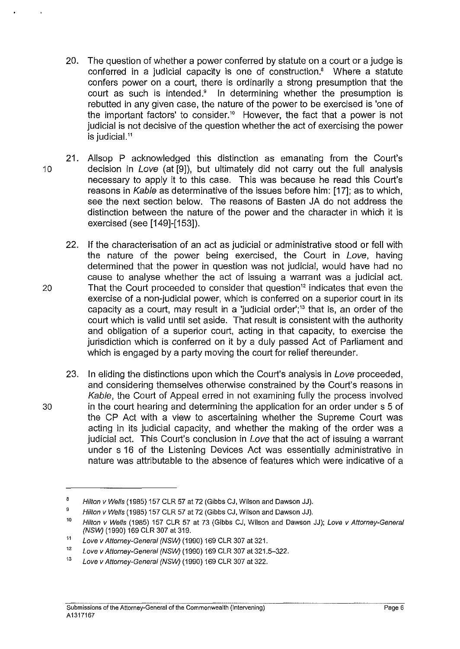- 20. The question of whether a power conferred by statute on a court or a judge is conferred in a judicial capacity is one of construction.' Where a statute confers power on a court, there is ordinarily a strong presumption that the court as such is intended.<sup>9</sup> In determining whether the presumption is rebutted in any given case, the nature of the power to be exercised is 'one of the important factors' to consider.<sup>10</sup> However, the fact that a power is not judicial is not decisive of the question whether the act of exercising the power is judicial.<sup>11</sup>
- 21. Allsop P acknowledged this distinction as emanating from the Court's 10 decision in Love (at [9]), but ultimately did not carry out the full analysis necessary to apply it to this case. This was because he read this Court's reasons in Kable as determinative of the issues before him: [17]; as to which, see the next section below. The reasons of Basten JA do not address the distinction between the nature of the power and the character in which it is exercised (see [149]-[153]).
- 22. If the characterisation of an act as judicial or administrative stood or fell with the nature of the power being exercised, the Court in Love, having determined that the power in question was not judicial, would have had no cause to analyse whether the act of issuing a warrant was a judicial act. 20 That the Court proceeded to consider that question<sup>12</sup> indicates that even the exercise of a non-judicial power, which is conferred on a superior court in its capacity as a court, may result in a 'judicial order';<sup>13</sup> that is, an order of the court which is valid until set aside. That result is consistent with the authority and obligation of a superior court, acting in that capacity, to exercise the jurisdiction which is conferred on it by a duly passed Act of Parliament and which is engaged by a party moving the court for relief thereunder.
- 23. In eliding the distinctions upon which the Court's analysis in Love proceeded, and considering themselves otherwise constrained by the Court's reasons in Kable, the Court of Appeal erred in not examining fully the process involved 30 in the court hearing and determining the application for an order under s 5 of the CP Act with a view to ascertaining whether the Supreme Court was acting in its judicial capacity, and whether the making of the order was a judicial act. This Court's conclusion in Love that the act of issuing a warrant under s 16 of the Listening Devices Act was essentially administrative in nature was attributable to the absence of features which were indicative of a

<sup>8</sup>  Hilton v Wells (1985) 157 CLR 57 at 72 (Gibbs CJ, Wilson and Dawson JJ).

<sup>9</sup>  Hilton v Wells (1985) 157 CLR 57 at 72 (Gibbs CJ. Wilson and Dawson JJ).

<sup>10</sup>  Hilton v Wells (1985) 157 CLR 57 at 73 (Gibbs CJ, Wilson and Dawson JJ); Love v Attorney-General (NSW) (1990) 169 CLR 307 at 319.

<sup>11</sup>  Love v Attorney-General (NSW) (1990) 169 CLR 307 at 321.

<sup>12</sup>  Love v Attorney-General (NSW) (1990) 169 CLR 307 at 321.5-322.

<sup>13</sup>  Love v Attorney-General (NSW) (1990) 169 CLR 307 at 322.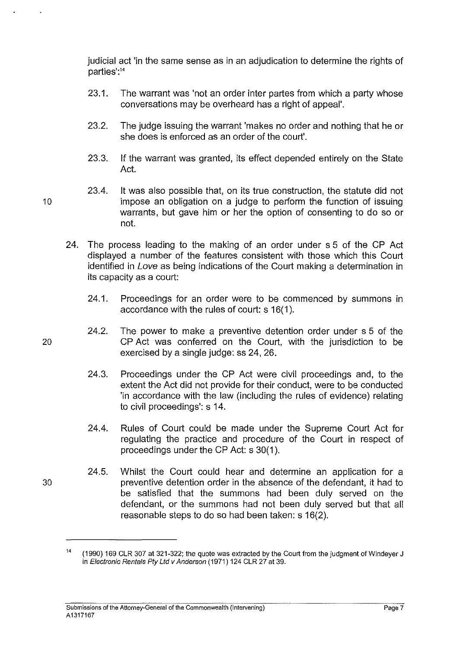judicial act 'in the same sense as in an adjudication to determine the rights of parties':<sup>14</sup>

- 23.1. The warrant was 'not an order inter partes from which a party whose conversations may be overheard has a right of appeal'.
- 23.2. The judge issuing the warrant 'makes no order and nothing that he or she does is enforced as an order of the court'.
- 23.3. If the warrant was granted, its effect depended entirely on the State Act.
- 23.4. It was also possible that, on its true construction, the statute did not 10 impose an obligation on a judge to perform the function of issuing warrants, but gave him or her the option of consenting to do so or not.
	- 24. The process leading to the making of an order under s 5 of the CP Act displayed a number of the features consistent with those which this Court identified in Love as being indications of the Court making a determination in its capacity as a court:
		- 24.1. Proceedings for an order were to be commenced by summons in accordance with the rules of court: s 16(1 ).
- 24.2. The power to make a preventive detention order under s 5 of the 20 CP Act was conferred on the Court, with the jurisdiction to be exercised by a single judge: ss 24, 26.
	- 24.3. Proceedings under the CP Act were civil proceedings and, to the extent the Act did not provide for their conduct, were to be conducted 'in accordance with the law (including the rules of evidence) relating to civil proceedings': s 14.
	- 24.4. Rules of Court could be made under the Supreme Court Act for regulating the practice and procedure of the Court in respect of proceedings under the CP Act: s 30(1 ).
- 24.5. Whilst the Court could hear and determine an application for a 30 preventive detention order in the absence of the defendant, it had to be satisfied that the summons had been duly served on the defendant, or the summons had not been duly served but that all reasonable steps to do so had been taken: s 16(2).

 $14$  (1990) 169 CLR 307 at 321-322; the quote was extracted by the Court from the judgment of Windeyer J in Electronic Rentals Ply Ltd v Anderson (1971) 124 CLR 27 at 39.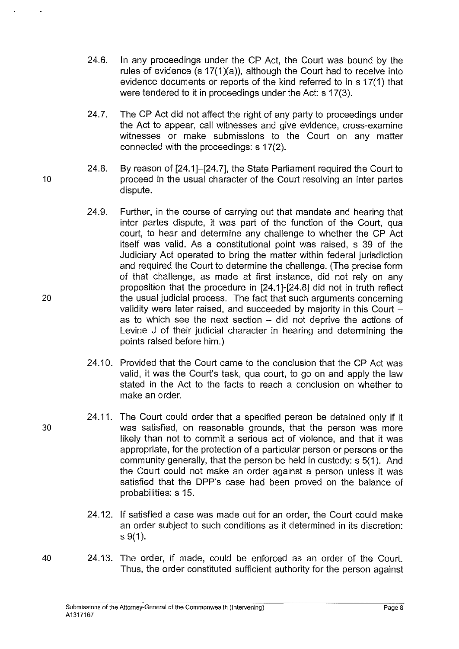- 24.6. In any proceedings under the CP Act, the Court was bound by the rules of evidence (s 17(1)(a)), although the Court had to receive into evidence documents or reports of the kind referred to in s 17(1) that were tendered to it in proceedings under the Act: s 17(3).
- 24.7. The CP Act did not affect the right of any party to proceedings under the Act to appear, call witnesses and give evidence, cross-examine witnesses or make submissions to the Court on any matter connected with the proceedings: s 17(2).
- 24.8. By reason of [24.1]-[24. 7], the State Parliament required the Court to 10 **proceed in the usual character of the Court resolving an inter partes** dispute.
- 24.9. Further, in the course of carrying out that mandate and hearing that inter partes dispute, it was part of the function of the Court, qua court, to hear and determine any challenge to whether the CP Act itself was valid. As a constitutional point was raised, s 39 of the Judiciary Act operated to bring the matter within federal jurisdiction and required the Court to determine the challenge. (The precise form of that challenge, as made at first instance, did not rely on any proposition that the procedure in [24.1]-[24.8] did not in truth reflect 20 the usual judicial process. The fact that such arguments concerning validity were later raised, and succeeded by majority in this Court  $$ as to which see the next section - did not deprive the actions of Levine J of their judicial character in hearing and determining the points raised before him.)
	- 24.10. Provided that the Court came to the conclusion that the CP Act was valid, it was the Court's task, qua court, to go on and apply the law stated in the Act to the facts to reach a conclusion on whether to make an order.
- 24.11. The Court could order that a specified person be detained only if it 30 was satisfied, on reasonable grounds, that the person was more likely than not to commit a serious act of violence, and that it was appropriate, for the protection of a particular person or persons or the community generally, that the person be held in custody: s 5(1 ). And the Court could not make an order against a person unless it was satisfied that the DPP's case had been proved on the balance of probabilities: s 15.
	- 24.12. If satisfied a case was made out for an order, the Court could make an order subject to such conditions as it determined in its discretion:  $s \, 9(1)$ .
- 40 24.13. The order, if made, could be enforced as an order of the Court. Thus, the order constituted sufficient authority for the person against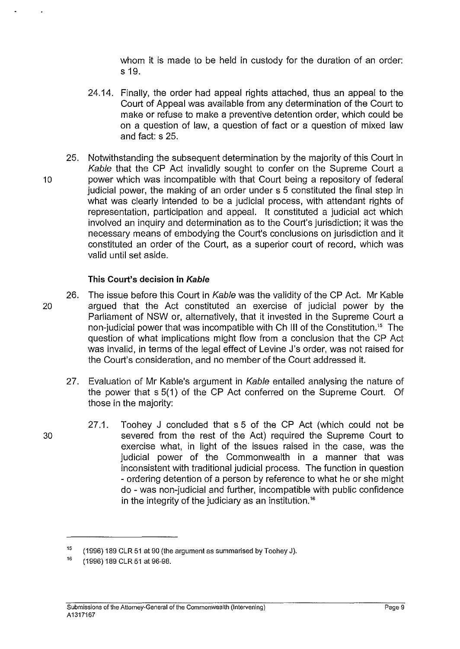whom it is made to be held in custody for the duration of an order: s 19.

- 24.14. Finally, the order had appeal rights attached, thus an appeal to the Court of Appeal was available from any determination of the Court to make or refuse to make a preventive detention order, which could be on a question of law, a question of fact or a question of mixed law and fact: s 25.
- 25. Notwithstanding the subsequent determination by the majority of this Court in Kable that the CP Act invalidly sought to confer on the Supreme Court a 10 power which was incompatible with that Court being a repository of federal judicial power, the making of an order under s 5 constituted the final step in what was clearly intended to be a judicial process, with attendant rights of representation, participation and appeal. It constituted a judicial act which involved an inquiry and determination as to the Court's jurisdiction; it was the necessary means of embodying the Court's conclusions on jurisdiction and it constituted an order of the Court, as a superior court of record, which was valid until set aside.

## **This Court's decision in Kable**

- 26. The issue before this Court in Kable was the validity of the CP Act. Mr Kable 20 argued that the Act constituted an exercise of judicial power by the Parliament of NSW or, alternatively, that it invested in the Supreme Court a non-judicial power that was incompatible with Ch Ill of the Constitution." The question of what implications might flow from a conclusion that the CP Act was invalid, in terms of the legal effect of Levine J's order, was not raised for the Court's consideration, and no member of the Court addressed it.
	- 27. Evaluation of Mr Kable's argument in Kable entailed analysing the nature of the power that s 5(1) of the CP Act conferred on the Supreme Court. Of those in the majority:
- 27.1. Toohey J concluded that s 5 of the CP Act (which could not be 30 severed from the rest of the Act) required the Supreme Court to exercise what, in light of the issues raised in the case, was the judicial power of the Commonwealth in a manner that was inconsistent with traditional judicial process. The function in question - ordering detention of a person by reference to what he or she might do -was non-judicial and further, incompatible with public confidence in the integrity of the judiciary as an institution.<sup>16</sup>

<sup>15</sup>  (1996) 189 CLR 51 at 90 (the argument as summarised by Toohey J).

<sup>16</sup>  (1996) 189 CLR 51 at 96-98.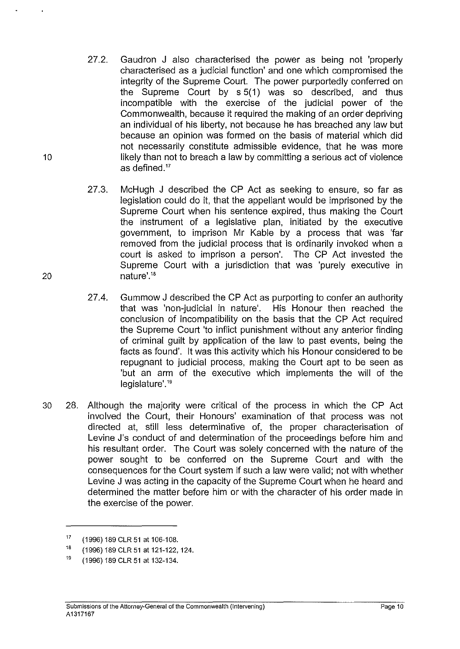- 27.2. Gaudron J also characterised the power as being not 'properly characterised as a judicial function' and one which compromised the integrity of the Supreme Court. The power purportedly conferred on the Supreme Court by s 5(1) was so described, and thus incompatible with the exercise of the judicial power of the Commonwealth, because it required the making of an order depriving an individual of his liberty, not because he has breached any law but because an opinion was formed on the basis of material which did not necessarily constitute admissible evidence, that he was more 10 likely than not to breach a law by committing a serious act of violence as defined. $17$
- 27.3. McHugh J described the CP Act as seeking to ensure, so far as legislation could do it, that the appellant would be imprisoned by the Supreme Court when his sentence expired, thus making the Court the instrument of a legislative plan, initiated by the executive government, to imprison Mr Kable by a process that was 'far removed from the judicial process that is ordinarily invoked when a court is asked to imprison a person'. The CP Act invested the Supreme Court with a jurisdiction that was 'purely executive in 20 nature'.<sup>18</sup>
	- 27.4. Gummow J described the CP Act as purporting to confer an authority that was 'non-judicial in nature'. His Honour then reached the conclusion of incompatibility on the basis that the CP Act required the Supreme Court 'to inflict punishment without any anterior finding of criminal guilt by application of the law to past events, being the facts as found'. It was this activity which his Honour considered to be repugnant to judicial process, making the Court apt to be seen as 'but an arm of the executive which implements the will of the legislature'.<sup>19</sup>
- 30 28. Although the majority were critical of the process in which the CP Act involved the Court, their Honours' examination of that process was not directed at, still less determinative of, the proper characterisation of Levine J's conduct of and determination of the proceedings before him and his resultant order. The Court was solely concerned with the nature of the power sought to be conferred on the Supreme Court and with the consequences for the Court system if such a law were valid; not with whether Levine J was acting in the capacity of the Supreme Court when he heard and determined the matter before him or with the character of his order made in the exercise of the power.

<sup>17</sup>  (1996) 189 CLR 51 at 106-108.

<sup>18</sup>  (1996) 189 CLR 51 at 121-122, 124.

<sup>19</sup>  (1996) 189 CLR 51 at 132-134.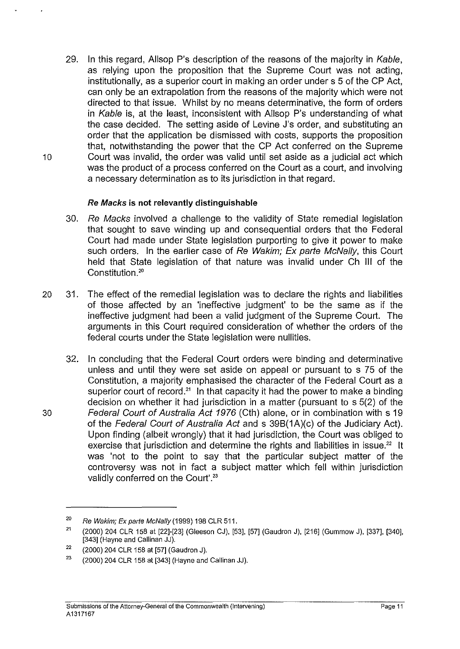29. In this regard, Allsop P's description of the reasons of the majority in Kable, as relying upon the proposition that the Supreme Court was not acting, institutionally, as a superior court in making an order under s 5 of the CP Act, can only be an extrapolation from the reasons of the majority which were not directed to that issue. Whilst by no means determinative, the form of orders in Kable is, at the least, inconsistent with Allsop P's understanding of what the case decided. The setting aside of Levine J's order, and substituting an order that the application be dismissed with costs, supports the proposition that, notwithstanding the power that the CP Act conferred on the Supreme 10 Court was invalid, the order was valid until set aside as a judicial act which was the product of a process conferred on the Court as a court, and involving a necessary determination as to its jurisdiction in that regard.

# Re Macks **is not relevantly distinguishable**

- 30. Re Macks involved a challenge to the validity of State remedial legislation that sought to save winding up and consequential orders that the Federal Court had made under State legislation purporting to give it power to make such orders. In the earlier case of Re Wakim; Ex parte McNally, this Court held that State legislation of that nature was invalid under Ch III of the Constitution.<sup>20</sup>
- 20 31. The effect of the remedial legislation was to declare the rights and liabilities of those affected by an 'ineffective judgment' to be the same as if the ineffective judgment had been a valid judgment of the Supreme Court. The arguments in this Court required consideration of whether the orders of the federal courts under the State legislation were nullities.
- 32. In concluding that the Federal Court orders were binding and determinative unless and until they were set aside on appeal or pursuant to s 75 of the Constitution, a majority emphasised the character of the Federal Court as a superior court of record.<sup>21</sup> In that capacity it had the power to make a binding decision on whether it had jurisdiction in a matter (pursuant to s 5(2) of the 30 Federal Court of Australia Act 1976 (Cth) alone, or in combination with s 19 of the Federal Court of Australia Act and s 39B(1A)(c) of the Judiciary Act). Upon finding (albeit wrongly) that it had jurisdiction, the Court was obliged to exercise that jurisdiction and determine the rights and liabilities in issue.<sup>22</sup> It was 'not to the point to say that the particular subject matter of the controversy was not in fact a subject matter which fell within jurisdiction validly conferred on the Court'.<sup>23</sup>

 $20$  Re Wakim; Ex parte McNally (1999) 198 CLR 511.

<sup>21</sup>(2000) 204 CLR 158 at [22]-[23] (Gleeson CJ), [53], [57] (Gaudron J), [216] (Gummow J), [337], [340], [343] (Hayne and Callinan JJ).

 $22$  (2000) 204 CLR 158 at [57] (Gaudron J).

<sup>&</sup>lt;sup>23</sup> (2000) 204 CLR 158 at [343] (Hayne and Callinan JJ).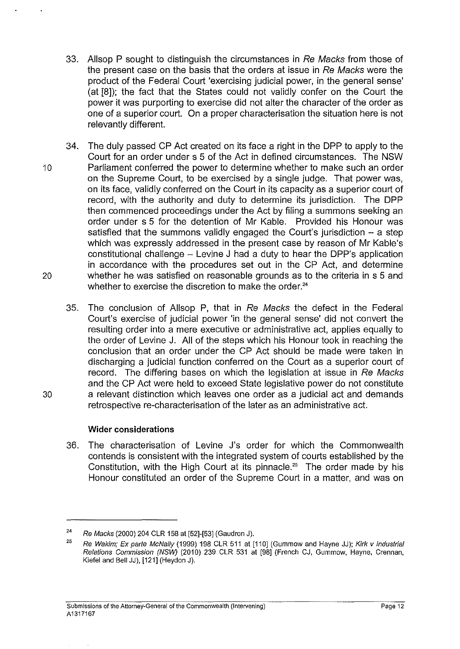- 33. Allsop P sought to distinguish the circumstances in Re Macks from those of the present case on the basis that the orders at issue in Re Macks were the product of the Federal Court 'exercising judicial power, in the general sense' (at [8]); the fact that the States could not validly confer on the Court the power it was purporting to exercise did not alter the character of the order as one of a superior court. On a proper characterisation the situation here is not relevantly different.
- 34. The duly passed CP Act created on its face a right in the DPP to apply to the Court for an order under s 5 of the Act in defined circumstances. The NSW 10 Parliament conferred the power to determine whether to make such an order on the Supreme Court, to be exercised by a single judge. That power was, on its face, validly conferred on the Court in its capacity as a superior court of record, with the authority and duty to determine its jurisdiction. The DPP then commenced proceedings under the Act by filing a summons seeking an order under s 5 for the detention of Mr Kable. Provided his Honour was satisfied that the summons validly engaged the Court's jurisdiction  $-$  a step which was expressly addressed in the present case by reason of Mr Kable's constitutional challenge - Levine J had a duty to hear the DPP's application in accordance with the procedures set out in the CP Act, and determine 20 whether he was satisfied on reasonable grounds as to the criteria in s 5 and whether to exercise the discretion to make the order.<sup>24</sup>
- 35. The conclusion of Allsop P, that in Re Macks the defect in the Federal Court's exercise of judicial power 'in the general sense' did not convert the resulting order into a mere executive or administrative act, applies equally to the order of Levine J. All of the steps which his Honour took in reaching the conclusion that an order under the CP Act should be made were taken in discharging a judicial function conferred on the Court as a superior court of record. The differing bases on which the legislation at issue in Re Macks and the CP Act were held to exceed State legislative power do not constitute 30 a relevant distinction which leaves one order as a judicial act and demands retrospective re-characterisation of the later as an administrative act.

# **Wider considerations**

36. The characterisation of Levine J's order for which the Commonwealth contends is consistent with the integrated system of courts established by the Constitution, with the High Court at its pinnacle.<sup>25</sup> The order made by his Honour constituted an order of the Supreme Court in a matter, and was on

<sup>24</sup>  Re Macks (2000) 204 CLR 158 at [52]-[53] (Gaudron J).

<sup>25</sup>  Re Wakim; Ex parte McNally (1999) 198 CLR 511 at [110] (Gummow and Hayne JJ); Kirk v Industrial Relations Commission (NSW) (2010) 239 CLR 531 at [98] (French CJ, Gummow, Hayne, Grennan, Kiefel and Bell JJ), [121] (Heydon J).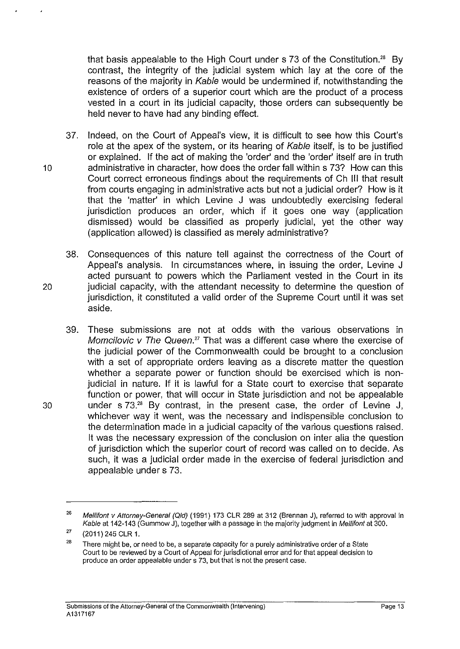that basis appealable to the High Court under  $\frac{1}{5}$  73 of the Constitution.<sup>26</sup> By contrast, the integrity of the judicial system which lay at the core of the reasons of the majority in Kable would be undermined if, notwithstanding the existence of orders of a superior court which are the product of a process vested in a court in its judicial capacity, those orders can subsequently be held never to have had any binding effect.

- 37. Indeed, on the Court of Appeal's view, it is difficult to see how this Court's role at the apex of the system, or its hearing of Kable itself, is to be justified or explained. If the act of making the 'order' and the 'order' itself are in truth 10 administrative in character, how does the order fall within s 73? How can this Court correct erroneous findings about the requirements of Ch Ill that result from courts engaging in administrative acts but not a judicial order? How is it that the 'matter' in which Levine J was undoubtedly exercising federal jurisdiction produces an order, which if it goes one way (application dismissed) would be classified as properly judicial, yet the other way (application allowed) is classified as merely administrative?
- 38. Consequences of this nature tell against the correctness of the Court of Appeal's analysis. In circumstances where, in issuing the order, Levine J acted pursuant to powers which the Parliament vested in the Court in its 20 judicial capacity, with the attendant necessity to determine the question of jurisdiction, it constituted a valid order of the Supreme Court until it was set aside.
- 39. These submissions are not at odds with the various observations in Momcilovic  $v$  The Queen.<sup>27</sup> That was a different case where the exercise of the judicial power of the Commonwealth could be brought to a conclusion with a set of appropriate orders leaving as a discrete matter the question whether a separate power or function should be exercised which is nonjudicial in nature. If it is lawful for a State court to exercise that separate function or power, that will occur in State jurisdiction and not be appealable 30 under s 73." By contrast, in the present case, the order of Levine J, whichever way it went, was the necessary and indispensible conclusion to the determination made in a judicial capacity of the various questions raised. It was the necessary expression of the conclusion on inter alia the question of jurisdiction which the superior court of record was called on to decide. As such, it was a judicial order made in the exercise of federal jurisdiction and appealable under s 73.

<sup>&</sup>lt;sup>26</sup> Mellifont v Attorney-General (Qld) (1991) 173 CLR 289 at 312 (Brennan J), referred to with approval in Kable at 142-143 (Gummow J), together with a passage in the majority judgment in Mellifont at 300.

<sup>27</sup>  (2011) 245 CLR 1.

<sup>28</sup>  There might be. or need to be, a separate capacity for a purely administrative order of a State Court to be reviewed by a Court of Appeal for jurisdictional error and for that appeal decision to produce an order appealable under s 73, but that is not the present case.